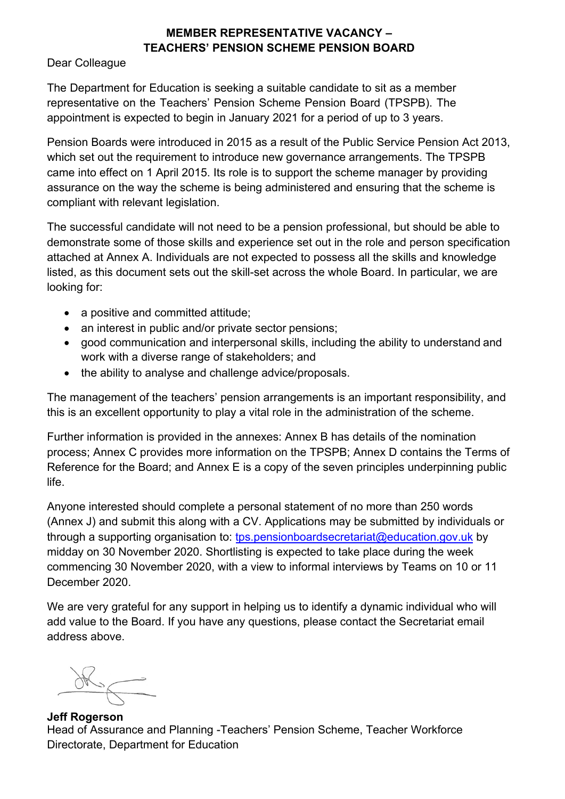## **MEMBER REPRESENTATIVE VACANCY – TEACHERS' PENSION SCHEME PENSION BOARD**

#### Dear Colleague

The Department for Education is seeking a suitable candidate to sit as a member representative on the Teachers' Pension Scheme Pension Board (TPSPB). The appointment is expected to begin in January 2021 for a period of up to 3 years.

Pension Boards were introduced in 2015 as a result of the Public Service Pension Act 2013, which set out the requirement to introduce new governance arrangements. The TPSPB came into effect on 1 April 2015. Its role is to support the scheme manager by providing assurance on the way the scheme is being administered and ensuring that the scheme is compliant with relevant legislation.

The successful candidate will not need to be a pension professional, but should be able to demonstrate some of those skills and experience set out in the role and person specification attached at Annex A. Individuals are not expected to possess all the skills and knowledge listed, as this document sets out the skill-set across the whole Board. In particular, we are looking for:

- a positive and committed attitude;
- an interest in public and/or private sector pensions;
- good communication and interpersonal skills, including the ability to understand and work with a diverse range of stakeholders; and
- the ability to analyse and challenge advice/proposals.

The management of the teachers' pension arrangements is an important responsibility, and this is an excellent opportunity to play a vital role in the administration of the scheme.

Further information is provided in the annexes: Annex B has details of the nomination process; Annex C provides more information on the TPSPB; Annex D contains the Terms of Reference for the Board; and Annex E is a copy of the seven principles underpinning public life.

Anyone interested should complete a personal statement of no more than 250 words (Annex J) and submit this along with a CV. Applications may be submitted by individuals or through a supporting organisation to: [tps.pensionboardsecretariat@education.gov.uk](mailto:tps.pensionboardsecretariat@education.gov.uk) by midday on 30 November 2020. Shortlisting is expected to take place during the week commencing 30 November 2020, with a view to informal interviews by Teams on 10 or 11 December 2020.

We are very grateful for any support in helping us to identify a dynamic individual who will add value to the Board. If you have any questions, please contact the Secretariat email address above.

**Jeff Rogerson** Head of Assurance and Planning -Teachers' Pension Scheme, Teacher Workforce Directorate, Department for Education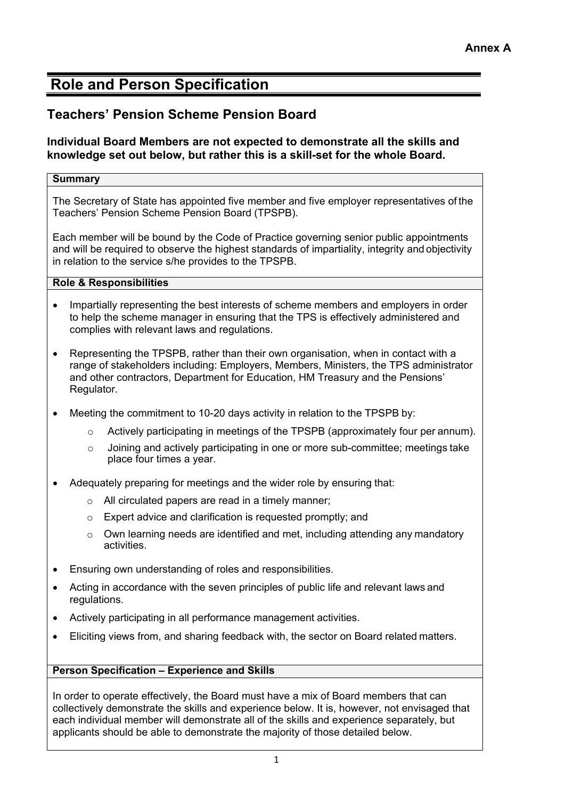## **Role and Person Specification**

## **Teachers' Pension Scheme Pension Board**

#### **Individual Board Members are not expected to demonstrate all the skills and knowledge set out below, but rather this is a skill-set for the whole Board.**

#### **Summary**

The Secretary of State has appointed five member and five employer representatives of the Teachers' Pension Scheme Pension Board (TPSPB).

Each member will be bound by the Code of Practice governing senior public appointments and will be required to observe the highest standards of impartiality, integrity and objectivity in relation to the service s/he provides to the TPSPB.

#### **Role & Responsibilities**

- Impartially representing the best interests of scheme members and employers in order to help the scheme manager in ensuring that the TPS is effectively administered and complies with relevant laws and regulations.
- Representing the TPSPB, rather than their own organisation, when in contact with a range of stakeholders including: Employers, Members, Ministers, the TPS administrator and other contractors, Department for Education, HM Treasury and the Pensions' Regulator.
- Meeting the commitment to 10-20 days activity in relation to the TPSPB by:
	- $\circ$  Actively participating in meetings of the TPSPB (approximately four per annum).
	- $\circ$  Joining and actively participating in one or more sub-committee; meetings take place four times a year.
- Adequately preparing for meetings and the wider role by ensuring that:
	- o All circulated papers are read in a timely manner;
	- o Expert advice and clarification is requested promptly; and
	- o Own learning needs are identified and met, including attending any mandatory activities.
- Ensuring own understanding of roles and responsibilities.
- Acting in accordance with the seven principles of public life and relevant laws and regulations.
- Actively participating in all performance management activities.
- Eliciting views from, and sharing feedback with, the sector on Board related matters.

#### **Person Specification – Experience and Skills**

In order to operate effectively, the Board must have a mix of Board members that can collectively demonstrate the skills and experience below. It is, however, not envisaged that each individual member will demonstrate all of the skills and experience separately, but applicants should be able to demonstrate the majority of those detailed below.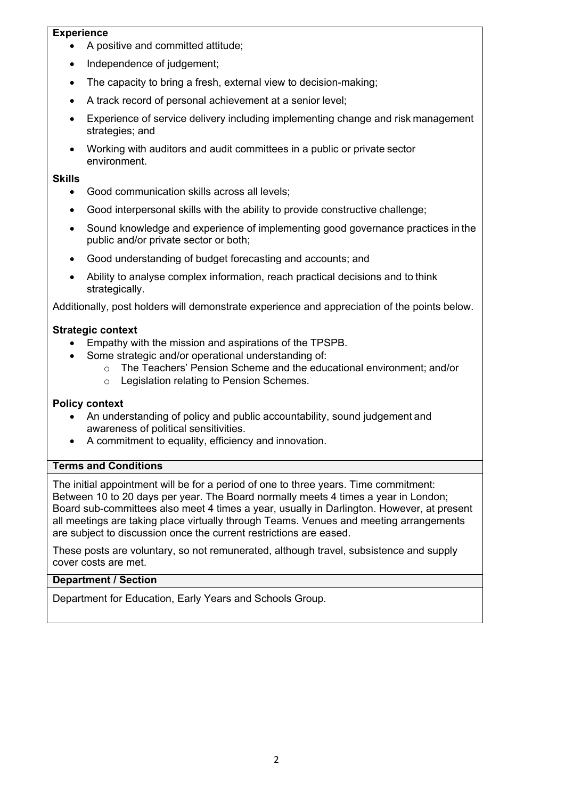#### **Experience**

- A positive and committed attitude;
- Independence of judgement;
- The capacity to bring a fresh, external view to decision-making;
- A track record of personal achievement at a senior level;
- Experience of service delivery including implementing change and risk management strategies; and
- Working with auditors and audit committees in a public or private sector environment.

#### **Skills**

- Good communication skills across all levels;
- Good interpersonal skills with the ability to provide constructive challenge;
- Sound knowledge and experience of implementing good governance practices in the public and/or private sector or both;
- Good understanding of budget forecasting and accounts; and
- Ability to analyse complex information, reach practical decisions and to think strategically.

Additionally, post holders will demonstrate experience and appreciation of the points below.

#### **Strategic context**

- Empathy with the mission and aspirations of the TPSPB.
- Some strategic and/or operational understanding of:
	- $\circ$  The Teachers' Pension Scheme and the educational environment: and/or
	- o Legislation relating to Pension Schemes.

#### **Policy context**

- An understanding of policy and public accountability, sound judgement and awareness of political sensitivities.
- A commitment to equality, efficiency and innovation.

#### **Terms and Conditions**

The initial appointment will be for a period of one to three years. Time commitment: Between 10 to 20 days per year. The Board normally meets 4 times a year in London; Board sub-committees also meet 4 times a year, usually in Darlington. However, at present all meetings are taking place virtually through Teams. Venues and meeting arrangements are subject to discussion once the current restrictions are eased.

These posts are voluntary, so not remunerated, although travel, subsistence and supply cover costs are met.

#### **Department / Section**

Department for Education, Early Years and Schools Group.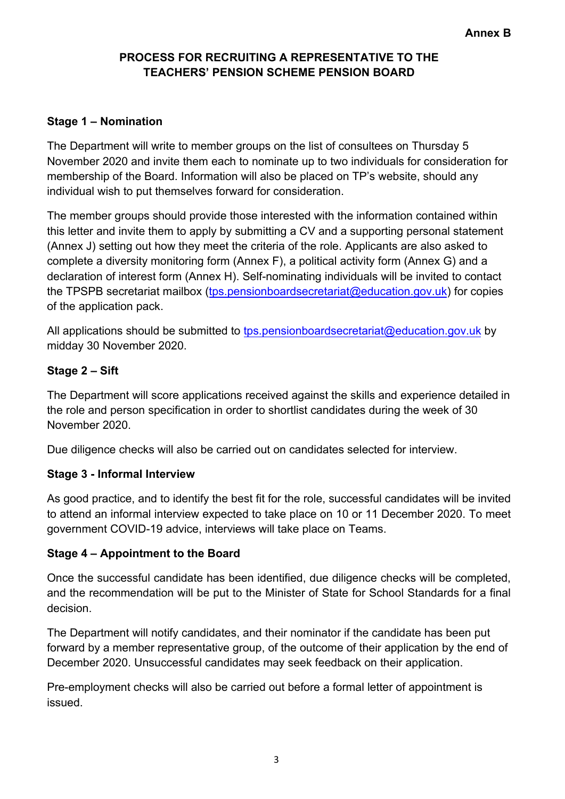## **PROCESS FOR RECRUITING A REPRESENTATIVE TO THE TEACHERS' PENSION SCHEME PENSION BOARD**

## **Stage 1 – Nomination**

The Department will write to member groups on the list of consultees on Thursday 5 November 2020 and invite them each to nominate up to two individuals for consideration for membership of the Board. Information will also be placed on TP's website, should any individual wish to put themselves forward for consideration.

The member groups should provide those interested with the information contained within this letter and invite them to apply by submitting a CV and a supporting personal statement (Annex J) setting out how they meet the criteria of the role. Applicants are also asked to complete a diversity monitoring form (Annex F), a political activity form (Annex G) and a declaration of interest form (Annex H). Self-nominating individuals will be invited to contact the TPSPB secretariat mailbox [\(tps.pensionboardsecretariat@education.gov.uk\)](mailto:tps.pensionboardsecretariat@education.gov.uk) for copies of the application pack.

All applications should be submitted to [tps.pensionboardsecretariat@education.gov.uk](mailto:tps.pensionboardsecretariat@education.gov.uk) by midday 30 November 2020.

## **Stage 2 – Sift**

The Department will score applications received against the skills and experience detailed in the role and person specification in order to shortlist candidates during the week of 30 November 2020.

Due diligence checks will also be carried out on candidates selected for interview.

## **Stage 3 - Informal Interview**

As good practice, and to identify the best fit for the role, successful candidates will be invited to attend an informal interview expected to take place on 10 or 11 December 2020. To meet government COVID-19 advice, interviews will take place on Teams.

## **Stage 4 – Appointment to the Board**

Once the successful candidate has been identified, due diligence checks will be completed, and the recommendation will be put to the Minister of State for School Standards for a final decision.

The Department will notify candidates, and their nominator if the candidate has been put forward by a member representative group, of the outcome of their application by the end of December 2020. Unsuccessful candidates may seek feedback on their application.

Pre-employment checks will also be carried out before a formal letter of appointment is issued.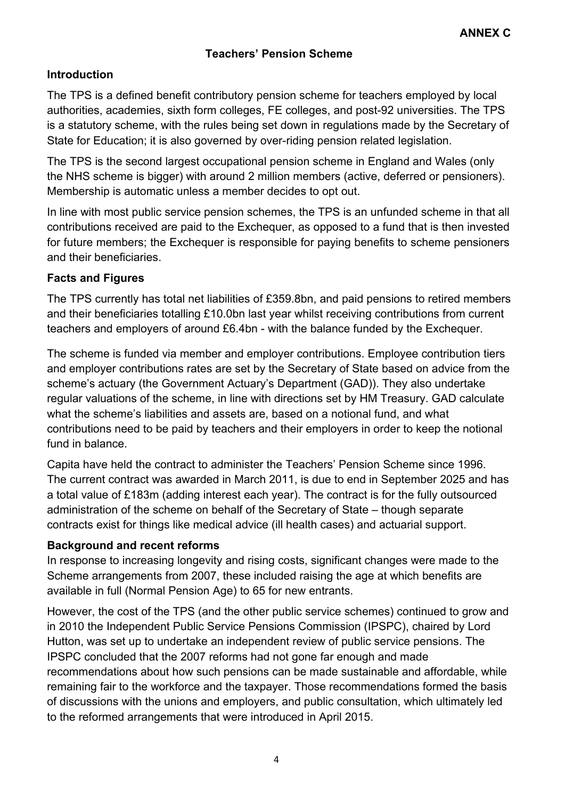## **Introduction**

The TPS is a defined benefit contributory pension scheme for teachers employed by local authorities, academies, sixth form colleges, FE colleges, and post-92 universities. The TPS is a statutory scheme, with the rules being set down in regulations made by the Secretary of State for Education; it is also governed by over-riding pension related legislation.

The TPS is the second largest occupational pension scheme in England and Wales (only the NHS scheme is bigger) with around 2 million members (active, deferred or pensioners). Membership is automatic unless a member decides to opt out.

In line with most public service pension schemes, the TPS is an unfunded scheme in that all contributions received are paid to the Exchequer, as opposed to a fund that is then invested for future members; the Exchequer is responsible for paying benefits to scheme pensioners and their beneficiaries.

## **Facts and Figures**

The TPS currently has total net liabilities of £359.8bn, and paid pensions to retired members and their beneficiaries totalling £10.0bn last year whilst receiving contributions from current teachers and employers of around £6.4bn - with the balance funded by the Exchequer.

The scheme is funded via member and employer contributions. Employee contribution tiers and employer contributions rates are set by the Secretary of State based on advice from the scheme's actuary (the Government Actuary's Department (GAD)). They also undertake regular valuations of the scheme, in line with directions set by HM Treasury. GAD calculate what the scheme's liabilities and assets are, based on a notional fund, and what contributions need to be paid by teachers and their employers in order to keep the notional fund in balance

Capita have held the contract to administer the Teachers' Pension Scheme since 1996. The current contract was awarded in March 2011, is due to end in September 2025 and has a total value of £183m (adding interest each year). The contract is for the fully outsourced administration of the scheme on behalf of the Secretary of State – though separate contracts exist for things like medical advice (ill health cases) and actuarial support.

## **Background and recent reforms**

In response to increasing longevity and rising costs, significant changes were made to the Scheme arrangements from 2007, these included raising the age at which benefits are available in full (Normal Pension Age) to 65 for new entrants.

However, the cost of the TPS (and the other public service schemes) continued to grow and in 2010 the Independent Public Service Pensions Commission (IPSPC), chaired by Lord Hutton, was set up to undertake an independent review of public service pensions. The IPSPC concluded that the 2007 reforms had not gone far enough and made recommendations about how such pensions can be made sustainable and affordable, while remaining fair to the workforce and the taxpayer. Those recommendations formed the basis of discussions with the unions and employers, and public consultation, which ultimately led to the reformed arrangements that were introduced in April 2015.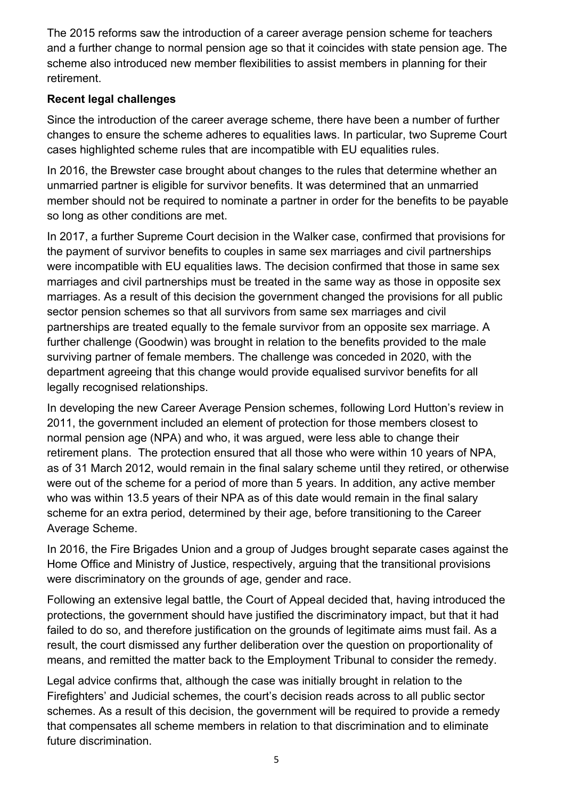The 2015 reforms saw the introduction of a career average pension scheme for teachers and a further change to normal pension age so that it coincides with state pension age. The scheme also introduced new member flexibilities to assist members in planning for their retirement.

## **Recent legal challenges**

Since the introduction of the career average scheme, there have been a number of further changes to ensure the scheme adheres to equalities laws. In particular, two Supreme Court cases highlighted scheme rules that are incompatible with EU equalities rules.

In 2016, the Brewster case brought about changes to the rules that determine whether an unmarried partner is eligible for survivor benefits. It was determined that an unmarried member should not be required to nominate a partner in order for the benefits to be payable so long as other conditions are met.

In 2017, a further Supreme Court decision in the Walker case, confirmed that provisions for the payment of survivor benefits to couples in same sex marriages and civil partnerships were incompatible with EU equalities laws. The decision confirmed that those in same sex marriages and civil partnerships must be treated in the same way as those in opposite sex marriages. As a result of this decision the government changed the provisions for all public sector pension schemes so that all survivors from same sex marriages and civil partnerships are treated equally to the female survivor from an opposite sex marriage. A further challenge (Goodwin) was brought in relation to the benefits provided to the male surviving partner of female members. The challenge was conceded in 2020, with the department agreeing that this change would provide equalised survivor benefits for all legally recognised relationships.

In developing the new Career Average Pension schemes, following Lord Hutton's review in 2011, the government included an element of protection for those members closest to normal pension age (NPA) and who, it was argued, were less able to change their retirement plans. The protection ensured that all those who were within 10 years of NPA, as of 31 March 2012, would remain in the final salary scheme until they retired, or otherwise were out of the scheme for a period of more than 5 years. In addition, any active member who was within 13.5 years of their NPA as of this date would remain in the final salary scheme for an extra period, determined by their age, before transitioning to the Career Average Scheme.

In 2016, the Fire Brigades Union and a group of Judges brought separate cases against the Home Office and Ministry of Justice, respectively, arguing that the transitional provisions were discriminatory on the grounds of age, gender and race.

Following an extensive legal battle, the Court of Appeal decided that, having introduced the protections, the government should have justified the discriminatory impact, but that it had failed to do so, and therefore justification on the grounds of legitimate aims must fail. As a result, the court dismissed any further deliberation over the question on proportionality of means, and remitted the matter back to the Employment Tribunal to consider the remedy.

Legal advice confirms that, although the case was initially brought in relation to the Firefighters' and Judicial schemes, the court's decision reads across to all public sector schemes. As a result of this decision, the government will be required to provide a remedy that compensates all scheme members in relation to that discrimination and to eliminate future discrimination.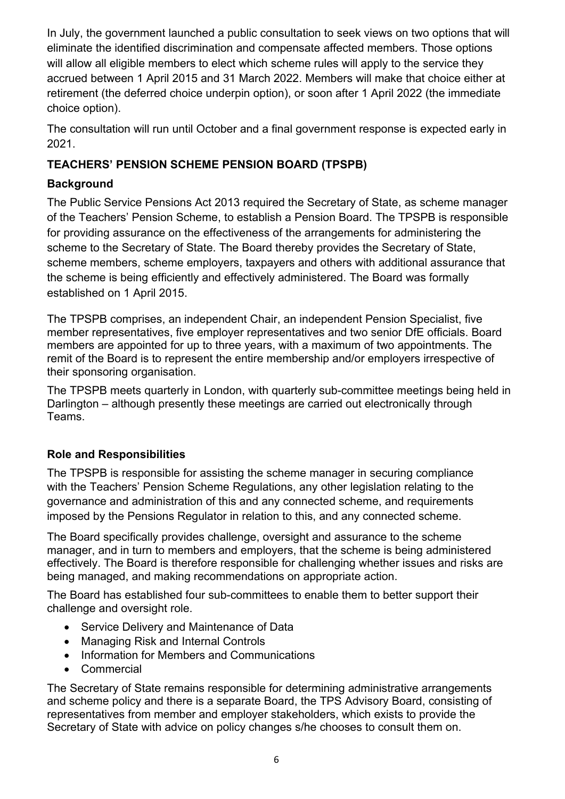In July, the government launched a public consultation to seek views on two options that will eliminate the identified discrimination and compensate affected members. Those options will allow all eligible members to elect which scheme rules will apply to the service they accrued between 1 April 2015 and 31 March 2022. Members will make that choice either at retirement (the deferred choice underpin option), or soon after 1 April 2022 (the immediate choice option).

The consultation will run until October and a final government response is expected early in 2021.

## **TEACHERS' PENSION SCHEME PENSION BOARD (TPSPB)**

## **Background**

The Public Service Pensions Act 2013 required the Secretary of State, as scheme manager of the Teachers' Pension Scheme, to establish a Pension Board. The TPSPB is responsible for providing assurance on the effectiveness of the arrangements for administering the scheme to the Secretary of State. The Board thereby provides the Secretary of State, scheme members, scheme employers, taxpayers and others with additional assurance that the scheme is being efficiently and effectively administered. The Board was formally established on 1 April 2015.

The TPSPB comprises, an independent Chair, an independent Pension Specialist, five member representatives, five employer representatives and two senior DfE officials. Board members are appointed for up to three years, with a maximum of two appointments. The remit of the Board is to represent the entire membership and/or employers irrespective of their sponsoring organisation.

The TPSPB meets quarterly in London, with quarterly sub-committee meetings being held in Darlington – although presently these meetings are carried out electronically through Teams.

## **Role and Responsibilities**

The TPSPB is responsible for assisting the scheme manager in securing compliance with the Teachers' Pension Scheme Regulations, any other legislation relating to the governance and administration of this and any connected scheme, and requirements imposed by the Pensions Regulator in relation to this, and any connected scheme.

The Board specifically provides challenge, oversight and assurance to the scheme manager, and in turn to members and employers, that the scheme is being administered effectively. The Board is therefore responsible for challenging whether issues and risks are being managed, and making recommendations on appropriate action.

The Board has established four sub-committees to enable them to better support their challenge and oversight role.

- Service Delivery and Maintenance of Data
- Managing Risk and Internal Controls
- Information for Members and Communications
- **Commercial**

The Secretary of State remains responsible for determining administrative arrangements and scheme policy and there is a separate Board, the TPS Advisory Board, consisting of representatives from member and employer stakeholders, which exists to provide the Secretary of State with advice on policy changes s/he chooses to consult them on.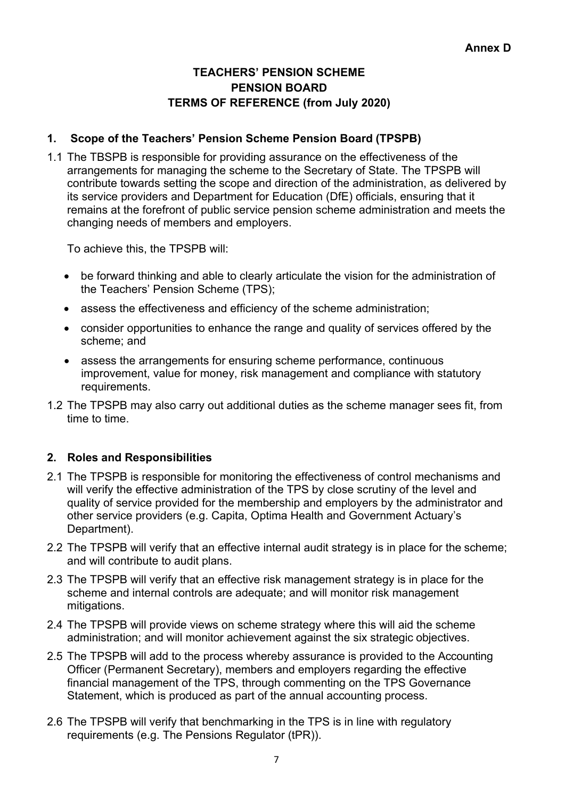## **TEACHERS' PENSION SCHEME PENSION BOARD TERMS OF REFERENCE (from July 2020)**

## **1. Scope of the Teachers' Pension Scheme Pension Board (TPSPB)**

1.1 The TBSPB is responsible for providing assurance on the effectiveness of the arrangements for managing the scheme to the Secretary of State. The TPSPB will contribute towards setting the scope and direction of the administration, as delivered by its service providers and Department for Education (DfE) officials, ensuring that it remains at the forefront of public service pension scheme administration and meets the changing needs of members and employers.

To achieve this, the TPSPB will:

- be forward thinking and able to clearly articulate the vision for the administration of the Teachers' Pension Scheme (TPS);
- assess the effectiveness and efficiency of the scheme administration;
- consider opportunities to enhance the range and quality of services offered by the scheme; and
- assess the arrangements for ensuring scheme performance, continuous improvement, value for money, risk management and compliance with statutory requirements.
- 1.2 The TPSPB may also carry out additional duties as the scheme manager sees fit, from time to time.

## **2. Roles and Responsibilities**

- 2.1 The TPSPB is responsible for monitoring the effectiveness of control mechanisms and will verify the effective administration of the TPS by close scrutiny of the level and quality of service provided for the membership and employers by the administrator and other service providers (e.g. Capita, Optima Health and Government Actuary's Department).
- 2.2 The TPSPB will verify that an effective internal audit strategy is in place for the scheme; and will contribute to audit plans.
- 2.3 The TPSPB will verify that an effective risk management strategy is in place for the scheme and internal controls are adequate; and will monitor risk management mitigations.
- 2.4 The TPSPB will provide views on scheme strategy where this will aid the scheme administration; and will monitor achievement against the six strategic objectives.
- 2.5 The TPSPB will add to the process whereby assurance is provided to the Accounting Officer (Permanent Secretary), members and employers regarding the effective financial management of the TPS, through commenting on the TPS Governance Statement, which is produced as part of the annual accounting process.
- 2.6 The TPSPB will verify that benchmarking in the TPS is in line with regulatory requirements (e.g. The Pensions Regulator (tPR)).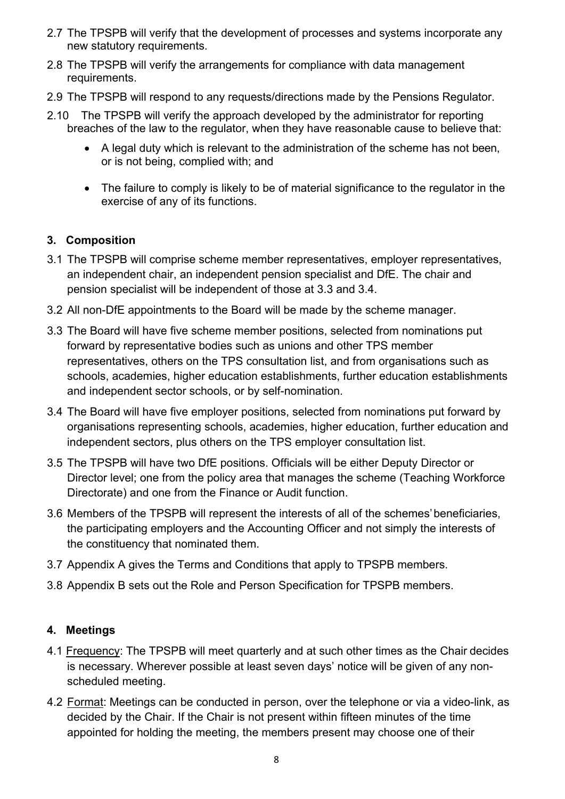- 2.7 The TPSPB will verify that the development of processes and systems incorporate any new statutory requirements.
- 2.8 The TPSPB will verify the arrangements for compliance with data management requirements.
- 2.9 The TPSPB will respond to any requests/directions made by the Pensions Regulator.
- 2.10 The TPSPB will verify the approach developed by the administrator for reporting breaches of the law to the regulator, when they have reasonable cause to believe that:
	- A legal duty which is relevant to the administration of the scheme has not been, or is not being, complied with; and
	- The failure to comply is likely to be of material significance to the regulator in the exercise of any of its functions.

## **3. Composition**

- 3.1 The TPSPB will comprise scheme member representatives, employer representatives, an independent chair, an independent pension specialist and DfE. The chair and pension specialist will be independent of those at 3.3 and 3.4.
- 3.2 All non-DfE appointments to the Board will be made by the scheme manager.
- 3.3 The Board will have five scheme member positions, selected from nominations put forward by representative bodies such as unions and other TPS member representatives, others on the TPS consultation list, and from organisations such as schools, academies, higher education establishments, further education establishments and independent sector schools, or by self-nomination.
- 3.4 The Board will have five employer positions, selected from nominations put forward by organisations representing schools, academies, higher education, further education and independent sectors, plus others on the TPS employer consultation list.
- 3.5 The TPSPB will have two DfE positions. Officials will be either Deputy Director or Director level; one from the policy area that manages the scheme (Teaching Workforce Directorate) and one from the Finance or Audit function.
- 3.6 Members of the TPSPB will represent the interests of all of the schemes'beneficiaries, the participating employers and the Accounting Officer and not simply the interests of the constituency that nominated them.
- 3.7 Appendix A gives the Terms and Conditions that apply to TPSPB members.
- 3.8 Appendix B sets out the Role and Person Specification for TPSPB members.

## **4. Meetings**

- 4.1 Frequency: The TPSPB will meet quarterly and at such other times as the Chair decides is necessary. Wherever possible at least seven days' notice will be given of any nonscheduled meeting.
- 4.2 Format: Meetings can be conducted in person, over the telephone or via a video-link, as decided by the Chair. If the Chair is not present within fifteen minutes of the time appointed for holding the meeting, the members present may choose one of their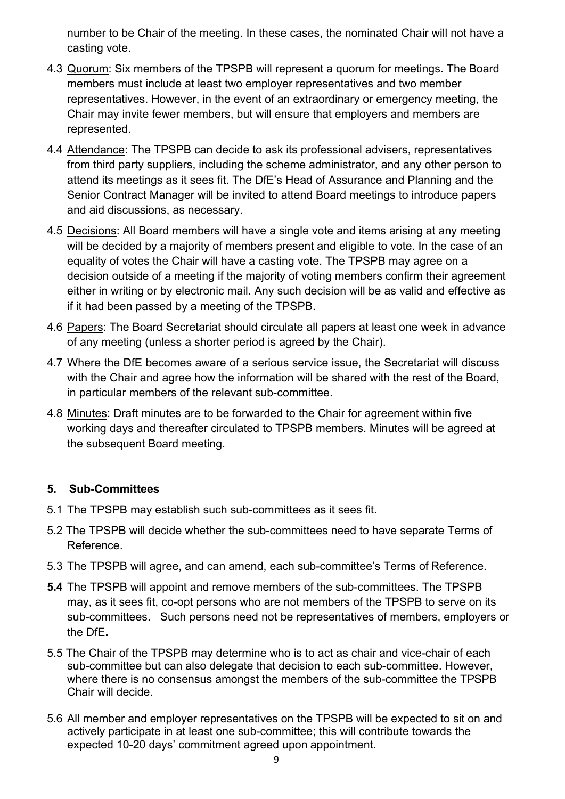number to be Chair of the meeting. In these cases, the nominated Chair will not have a casting vote.

- 4.3 Quorum: Six members of the TPSPB will represent a quorum for meetings. The Board members must include at least two employer representatives and two member representatives. However, in the event of an extraordinary or emergency meeting, the Chair may invite fewer members, but will ensure that employers and members are represented.
- 4.4 Attendance: The TPSPB can decide to ask its professional advisers, representatives from third party suppliers, including the scheme administrator, and any other person to attend its meetings as it sees fit. The DfE's Head of Assurance and Planning and the Senior Contract Manager will be invited to attend Board meetings to introduce papers and aid discussions, as necessary.
- 4.5 Decisions: All Board members will have a single vote and items arising at any meeting will be decided by a majority of members present and eligible to vote. In the case of an equality of votes the Chair will have a casting vote. The TPSPB may agree on a decision outside of a meeting if the majority of voting members confirm their agreement either in writing or by electronic mail. Any such decision will be as valid and effective as if it had been passed by a meeting of the TPSPB.
- 4.6 Papers: The Board Secretariat should circulate all papers at least one week in advance of any meeting (unless a shorter period is agreed by the Chair).
- 4.7 Where the DfE becomes aware of a serious service issue, the Secretariat will discuss with the Chair and agree how the information will be shared with the rest of the Board, in particular members of the relevant sub-committee.
- 4.8 Minutes: Draft minutes are to be forwarded to the Chair for agreement within five working days and thereafter circulated to TPSPB members. Minutes will be agreed at the subsequent Board meeting.

## **5. Sub-Committees**

- 5.1 The TPSPB may establish such sub-committees as it sees fit.
- 5.2 The TPSPB will decide whether the sub-committees need to have separate Terms of Reference.
- 5.3 The TPSPB will agree, and can amend, each sub-committee's Terms of Reference.
- **5.4** The TPSPB will appoint and remove members of the sub-committees. The TPSPB may, as it sees fit, co-opt persons who are not members of the TPSPB to serve on its sub-committees. Such persons need not be representatives of members, employers or the DfE**.**
- 5.5 The Chair of the TPSPB may determine who is to act as chair and vice-chair of each sub-committee but can also delegate that decision to each sub-committee. However, where there is no consensus amongst the members of the sub-committee the TPSPB Chair will decide.
- 5.6 All member and employer representatives on the TPSPB will be expected to sit on and actively participate in at least one sub-committee; this will contribute towards the expected 10-20 days' commitment agreed upon appointment.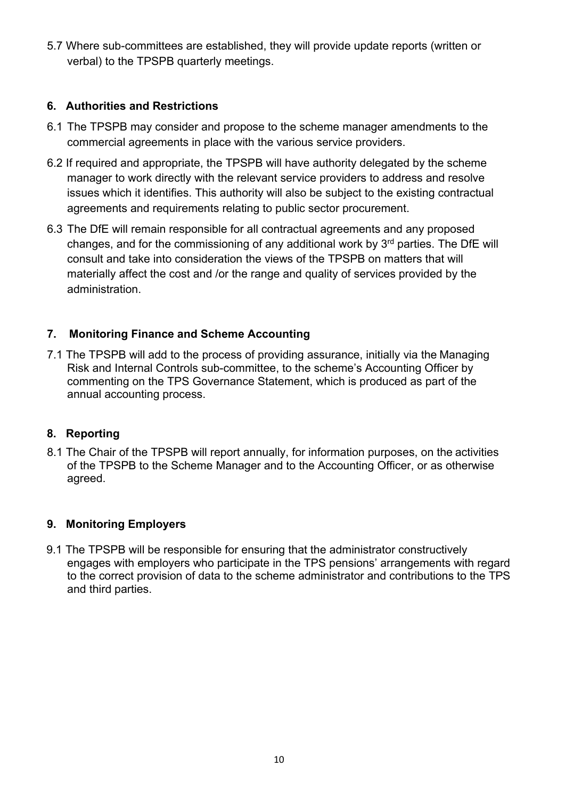5.7 Where sub-committees are established, they will provide update reports (written or verbal) to the TPSPB quarterly meetings.

## **6. Authorities and Restrictions**

- 6.1 The TPSPB may consider and propose to the scheme manager amendments to the commercial agreements in place with the various service providers.
- 6.2 If required and appropriate, the TPSPB will have authority delegated by the scheme manager to work directly with the relevant service providers to address and resolve issues which it identifies. This authority will also be subject to the existing contractual agreements and requirements relating to public sector procurement.
- 6.3 The DfE will remain responsible for all contractual agreements and any proposed changes, and for the commissioning of any additional work by  $3<sup>rd</sup>$  parties. The DfE will consult and take into consideration the views of the TPSPB on matters that will materially affect the cost and /or the range and quality of services provided by the administration.

## **7. Monitoring Finance and Scheme Accounting**

7.1 The TPSPB will add to the process of providing assurance, initially via the Managing Risk and Internal Controls sub-committee, to the scheme's Accounting Officer by commenting on the TPS Governance Statement, which is produced as part of the annual accounting process.

## **8. Reporting**

8.1 The Chair of the TPSPB will report annually, for information purposes, on the activities of the TPSPB to the Scheme Manager and to the Accounting Officer, or as otherwise agreed.

## **9. Monitoring Employers**

9.1 The TPSPB will be responsible for ensuring that the administrator constructively engages with employers who participate in the TPS pensions' arrangements with regard to the correct provision of data to the scheme administrator and contributions to the TPS and third parties.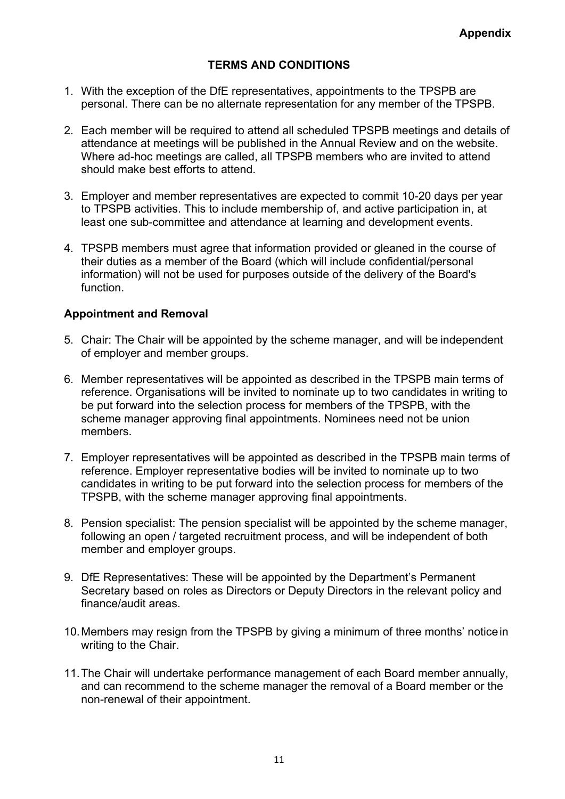## **TERMS AND CONDITIONS**

- 1. With the exception of the DfE representatives, appointments to the TPSPB are personal. There can be no alternate representation for any member of the TPSPB.
- 2. Each member will be required to attend all scheduled TPSPB meetings and details of attendance at meetings will be published in the Annual Review and on the website. Where ad-hoc meetings are called, all TPSPB members who are invited to attend should make best efforts to attend.
- 3. Employer and member representatives are expected to commit 10-20 days per year to TPSPB activities. This to include membership of, and active participation in, at least one sub-committee and attendance at learning and development events.
- 4. TPSPB members must agree that information provided or gleaned in the course of their duties as a member of the Board (which will include confidential/personal information) will not be used for purposes outside of the delivery of the Board's function.

#### **Appointment and Removal**

- 5. Chair: The Chair will be appointed by the scheme manager, and will be independent of employer and member groups.
- 6. Member representatives will be appointed as described in the TPSPB main terms of reference. Organisations will be invited to nominate up to two candidates in writing to be put forward into the selection process for members of the TPSPB, with the scheme manager approving final appointments. Nominees need not be union members.
- 7. Employer representatives will be appointed as described in the TPSPB main terms of reference. Employer representative bodies will be invited to nominate up to two candidates in writing to be put forward into the selection process for members of the TPSPB, with the scheme manager approving final appointments.
- 8. Pension specialist: The pension specialist will be appointed by the scheme manager, following an open / targeted recruitment process, and will be independent of both member and employer groups.
- 9. DfE Representatives: These will be appointed by the Department's Permanent Secretary based on roles as Directors or Deputy Directors in the relevant policy and finance/audit areas.
- 10.Members may resign from the TPSPB by giving a minimum of three months' noticein writing to the Chair.
- 11.The Chair will undertake performance management of each Board member annually, and can recommend to the scheme manager the removal of a Board member or the non-renewal of their appointment.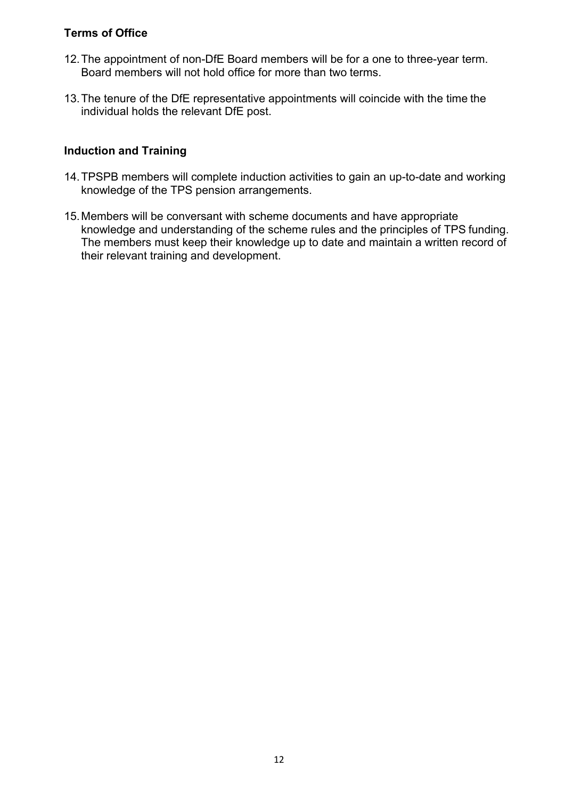## **Terms of Office**

- 12.The appointment of non-DfE Board members will be for a one to three-year term. Board members will not hold office for more than two terms.
- 13.The tenure of the DfE representative appointments will coincide with the time the individual holds the relevant DfE post.

#### **Induction and Training**

- 14.TPSPB members will complete induction activities to gain an up-to-date and working knowledge of the TPS pension arrangements.
- 15.Members will be conversant with scheme documents and have appropriate knowledge and understanding of the scheme rules and the principles of TPS funding. The members must keep their knowledge up to date and maintain a written record of their relevant training and development.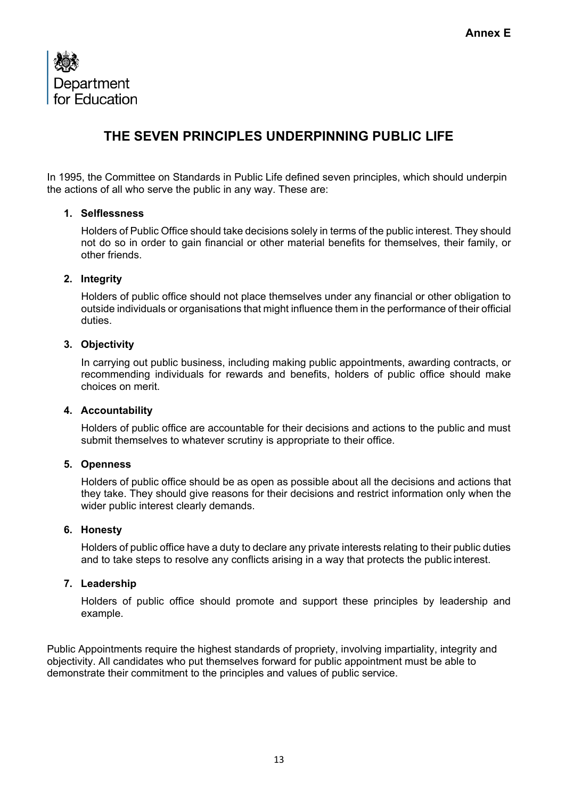

## **THE SEVEN PRINCIPLES UNDERPINNING PUBLIC LIFE**

In 1995, the Committee on Standards in Public Life defined seven principles, which should underpin the actions of all who serve the public in any way. These are:

#### **1. Selflessness**

Holders of Public Office should take decisions solely in terms of the public interest. They should not do so in order to gain financial or other material benefits for themselves, their family, or other friends.

#### **2. Integrity**

Holders of public office should not place themselves under any financial or other obligation to outside individuals or organisations that might influence them in the performance of their official duties.

#### **3. Objectivity**

In carrying out public business, including making public appointments, awarding contracts, or recommending individuals for rewards and benefits, holders of public office should make choices on merit.

#### **4. Accountability**

Holders of public office are accountable for their decisions and actions to the public and must submit themselves to whatever scrutiny is appropriate to their office.

#### **5. Openness**

Holders of public office should be as open as possible about all the decisions and actions that they take. They should give reasons for their decisions and restrict information only when the wider public interest clearly demands.

#### **6. Honesty**

Holders of public office have a duty to declare any private interests relating to their public duties and to take steps to resolve any conflicts arising in a way that protects the public interest.

#### **7. Leadership**

Holders of public office should promote and support these principles by leadership and example.

Public Appointments require the highest standards of propriety, involving impartiality, integrity and objectivity. All candidates who put themselves forward for public appointment must be able to demonstrate their commitment to the principles and values of public service.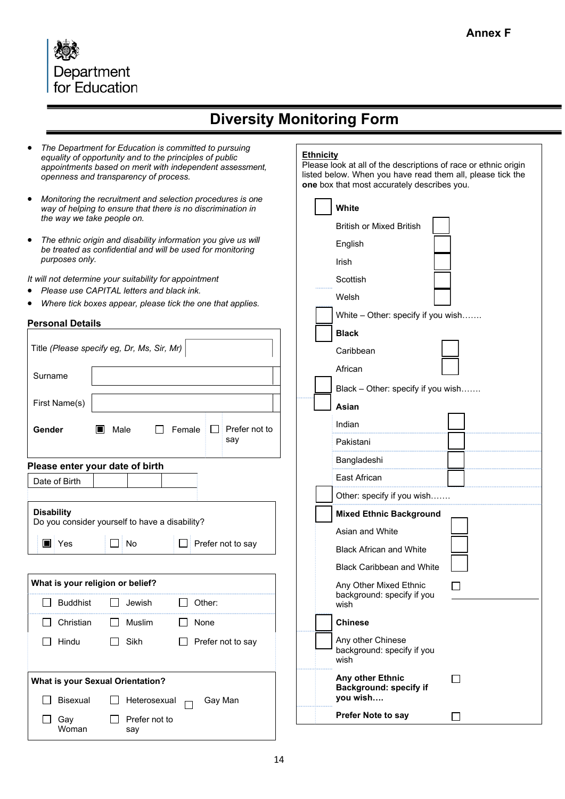

# **Diversity Monitoring Form**

- *The Department for Education is committed to pursuing equality of opportunity and to the principles of public appointments based on merit with independent assessment, openness and transparency of process.*
- *Monitoring the recruitment and selection procedures is one way of helping to ensure that there is no discrimination in the way we take people on.*
- *The ethnic origin and disability information you give us will be treated as confidential and will be used for monitoring purposes only.*

*It will not determine your suitability for appointment*

- *Please use CAPITAL letters and black ink.*
- *Where tick boxes appear, please tick the one that applies.*

#### **Personal Details**

| Title (Please specify eg, Dr, Ms, Sir, Mr)                          |                                  |           |                      |              |         |                      |  |
|---------------------------------------------------------------------|----------------------------------|-----------|----------------------|--------------|---------|----------------------|--|
| Surname                                                             |                                  |           |                      |              |         |                      |  |
| First Name(s)                                                       |                                  |           |                      |              |         |                      |  |
| Gender                                                              |                                  | Male<br>H | $\perp$              | Female       | I II    | Prefer not to<br>say |  |
| Please enter your date of birth                                     |                                  |           |                      |              |         |                      |  |
|                                                                     | Date of Birth                    |           |                      |              |         |                      |  |
| <b>Disability</b><br>Do you consider yourself to have a disability? |                                  |           |                      |              |         |                      |  |
|                                                                     | $\blacksquare$ Yes               |           | No                   |              |         | Prefer not to say    |  |
|                                                                     |                                  |           |                      |              |         |                      |  |
|                                                                     | What is your religion or belief? |           |                      |              |         |                      |  |
|                                                                     | <b>Buddhist</b>                  | ΙI        | Jewish               | $\mathsf{L}$ | Other:  |                      |  |
| $\mathbf{I}$                                                        | Christian                        | $\Box$    | <b>Muslim</b>        |              | None    |                      |  |
|                                                                     | Hindu                            | $\perp$   | Sikh                 |              |         | Prefer not to say    |  |
|                                                                     |                                  |           |                      |              |         |                      |  |
| <b>What is your Sexual Orientation?</b>                             |                                  |           |                      |              |         |                      |  |
|                                                                     | <b>Bisexual</b>                  |           | Heterosexual         |              | Gay Man |                      |  |
|                                                                     | Gay<br>Woman                     |           | Prefer not to<br>say |              |         |                      |  |

#### **Ethnicity**

Please look at all of the descriptions of race or ethnic origin listed below. When you have read them all, please tick the **one** box that most accurately describes you.

| <b>White</b>                                                  |  |
|---------------------------------------------------------------|--|
| <b>British or Mixed British</b>                               |  |
|                                                               |  |
| English                                                       |  |
| Irish                                                         |  |
| Scottish                                                      |  |
| Welsh                                                         |  |
| White - Other: specify if you wish                            |  |
| <b>Black</b>                                                  |  |
| Caribbean                                                     |  |
| African                                                       |  |
| Black - Other: specify if you wish                            |  |
| Asian                                                         |  |
| Indian                                                        |  |
| Pakistani                                                     |  |
| Bangladeshi                                                   |  |
| East African                                                  |  |
| Other: specify if you wish                                    |  |
| <b>Mixed Ethnic Background</b>                                |  |
| Asian and White                                               |  |
| <b>Black African and White</b>                                |  |
| <b>Black Caribbean and White</b>                              |  |
| Any Other Mixed Ethnic<br>background: specify if you<br>wish  |  |
| <b>Chinese</b>                                                |  |
| Any other Chinese<br>background: specify if you<br>wish       |  |
| Any other Ethnic<br><b>Background: specify if</b><br>you wish |  |
| Prefer Note to say                                            |  |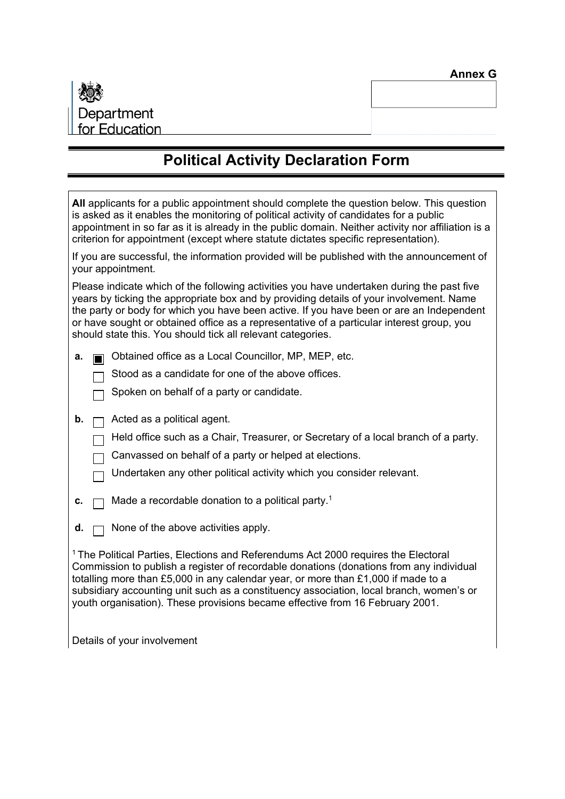

# **Political Activity Declaration Form**

| All applicants for a public appointment should complete the question below. This question<br>is asked as it enables the monitoring of political activity of candidates for a public<br>appointment in so far as it is already in the public domain. Neither activity nor affiliation is a<br>criterion for appointment (except where statute dictates specific representation).                                                                           |  |  |  |  |
|-----------------------------------------------------------------------------------------------------------------------------------------------------------------------------------------------------------------------------------------------------------------------------------------------------------------------------------------------------------------------------------------------------------------------------------------------------------|--|--|--|--|
| If you are successful, the information provided will be published with the announcement of<br>your appointment.                                                                                                                                                                                                                                                                                                                                           |  |  |  |  |
| Please indicate which of the following activities you have undertaken during the past five<br>years by ticking the appropriate box and by providing details of your involvement. Name<br>the party or body for which you have been active. If you have been or are an Independent<br>or have sought or obtained office as a representative of a particular interest group, you<br>should state this. You should tick all relevant categories.             |  |  |  |  |
| Obtained office as a Local Councillor, MP, MEP, etc.<br>a.                                                                                                                                                                                                                                                                                                                                                                                                |  |  |  |  |
| Stood as a candidate for one of the above offices.                                                                                                                                                                                                                                                                                                                                                                                                        |  |  |  |  |
| Spoken on behalf of a party or candidate.                                                                                                                                                                                                                                                                                                                                                                                                                 |  |  |  |  |
| b.<br>Acted as a political agent.                                                                                                                                                                                                                                                                                                                                                                                                                         |  |  |  |  |
| Held office such as a Chair, Treasurer, or Secretary of a local branch of a party.                                                                                                                                                                                                                                                                                                                                                                        |  |  |  |  |
| Canvassed on behalf of a party or helped at elections.                                                                                                                                                                                                                                                                                                                                                                                                    |  |  |  |  |
| Undertaken any other political activity which you consider relevant.                                                                                                                                                                                                                                                                                                                                                                                      |  |  |  |  |
| Made a recordable donation to a political party. <sup>1</sup><br>c.                                                                                                                                                                                                                                                                                                                                                                                       |  |  |  |  |
| None of the above activities apply.<br>d.                                                                                                                                                                                                                                                                                                                                                                                                                 |  |  |  |  |
| <sup>1</sup> The Political Parties, Elections and Referendums Act 2000 requires the Electoral<br>Commission to publish a register of recordable donations (donations from any individual<br>totalling more than £5,000 in any calendar year, or more than £1,000 if made to a<br>subsidiary accounting unit such as a constituency association, local branch, women's or<br>youth organisation). These provisions became effective from 16 February 2001. |  |  |  |  |
| Details of your involvement                                                                                                                                                                                                                                                                                                                                                                                                                               |  |  |  |  |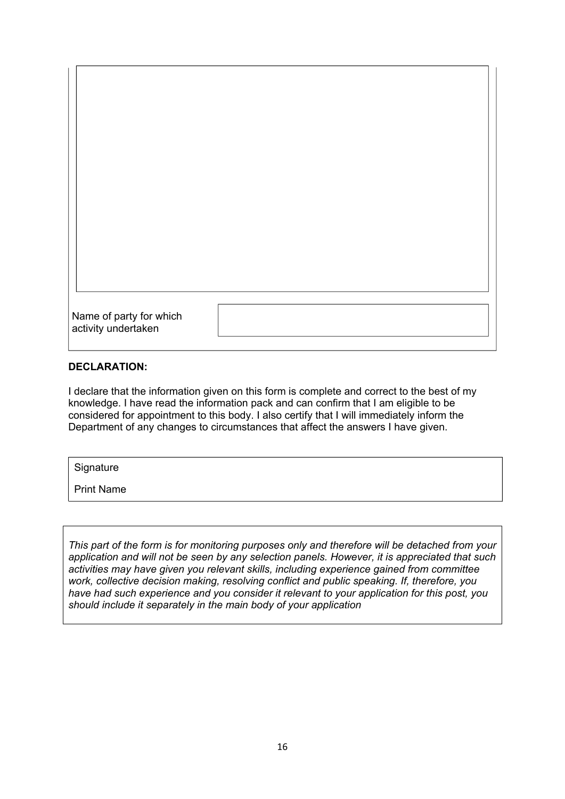| Name of party for which<br>activity undertaken |  |
|------------------------------------------------|--|

#### **DECLARATION:**

I declare that the information given on this form is complete and correct to the best of my knowledge. I have read the information pack and can confirm that I am eligible to be considered for appointment to this body. I also certify that I will immediately inform the Department of any changes to circumstances that affect the answers I have given.

**Signature** 

Print Name

*This part of the form is for monitoring purposes only and therefore will be detached from your application and will not be seen by any selection panels. However, it is appreciated that such activities may have given you relevant skills, including experience gained from committee work, collective decision making, resolving conflict and public speaking. If, therefore, you have had such experience and you consider it relevant to your application for this post, you should include it separately in the main body of your application*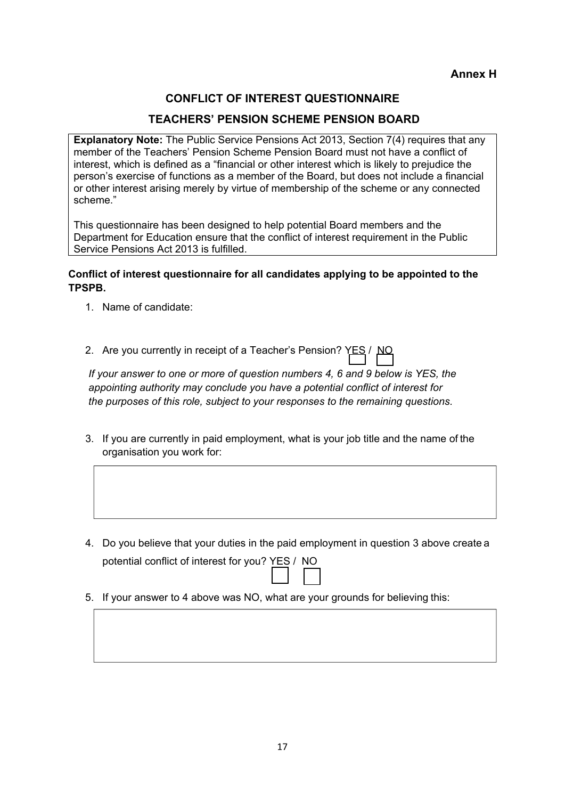**Annex H**

## **CONFLICT OF INTEREST QUESTIONNAIRE**

#### **TEACHERS' PENSION SCHEME PENSION BOARD**

**Explanatory Note:** The Public Service Pensions Act 2013, Section 7(4) requires that any member of the Teachers' Pension Scheme Pension Board must not have a conflict of interest, which is defined as a "financial or other interest which is likely to prejudice the person's exercise of functions as a member of the Board, but does not include a financial or other interest arising merely by virtue of membership of the scheme or any connected scheme."

This questionnaire has been designed to help potential Board members and the Department for Education ensure that the conflict of interest requirement in the Public Service Pensions Act 2013 is fulfilled.

#### **Conflict of interest questionnaire for all candidates applying to be appointed to the TPSPB.**

1. Name of candidate:

2. Are you currently in receipt of a Teacher's Pension? YES / NO

*If your answer to one or more of question numbers 4, 6 and 9 below is YES, the appointing authority may conclude you have a potential conflict of interest for the purposes of this role, subject to your responses to the remaining questions.*

- 3. If you are currently in paid employment, what is your job title and the name of the organisation you work for:
- 4. Do you believe that your duties in the paid employment in question 3 above create a potential conflict of interest for you? YES / NO
- 5. If your answer to 4 above was NO, what are your grounds for believing this: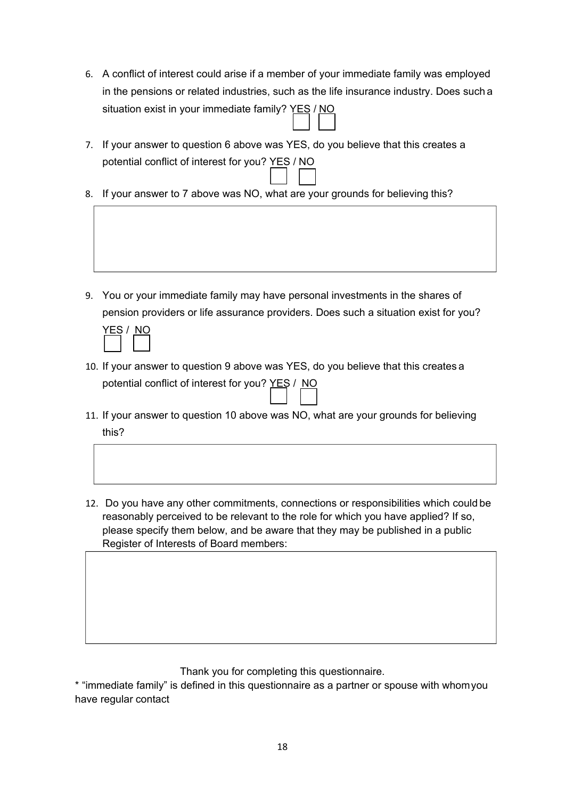- 6. A conflict of interest could arise if a member of your immediate family was employed in the pensions or related industries, such as the life insurance industry. Does such a situation exist in your immediate family? YES / NO
- 7. If your answer to question 6 above was YES, do you believe that this creates a potential conflict of interest for you? YES / NO
- 8. If your answer to 7 above was NO, what are your grounds for believing this?

9. You or your immediate family may have personal investments in the shares of pension providers or life assurance providers. Does such a situation exist for you?  $Y = 2$   $(1)$ 

- 10. If your answer to question 9 above was YES, do you believe that this creates a potential conflict of interest for you? YES / NO
- 11. If your answer to question 10 above was NO, what are your grounds for believing this?
- 12. Do you have any other commitments, connections or responsibilities which could be reasonably perceived to be relevant to the role for which you have applied? If so, please specify them below, and be aware that they may be published in a public Register of Interests of Board members:

Thank you for completing this questionnaire.

\* "immediate family" is defined in this questionnaire as a partner or spouse with whomyou have regular contact